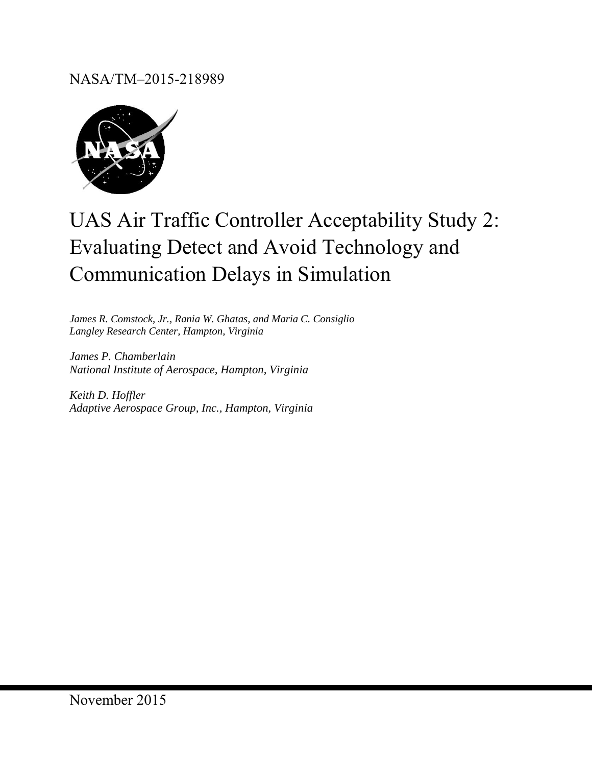NASA/TM–2015-218989



# UAS Air Traffic Controller Acceptability Study 2: Evaluating Detect and Avoid Technology and Communication Delays in Simulation

*James R. Comstock, Jr., Rania W. Ghatas, and Maria C. Consiglio Langley Research Center, Hampton, Virginia* 

*James P. Chamberlain National Institute of Aerospace, Hampton, Virginia* 

*Keith D. Hoffler Adaptive Aerospace Group, Inc., Hampton, Virginia*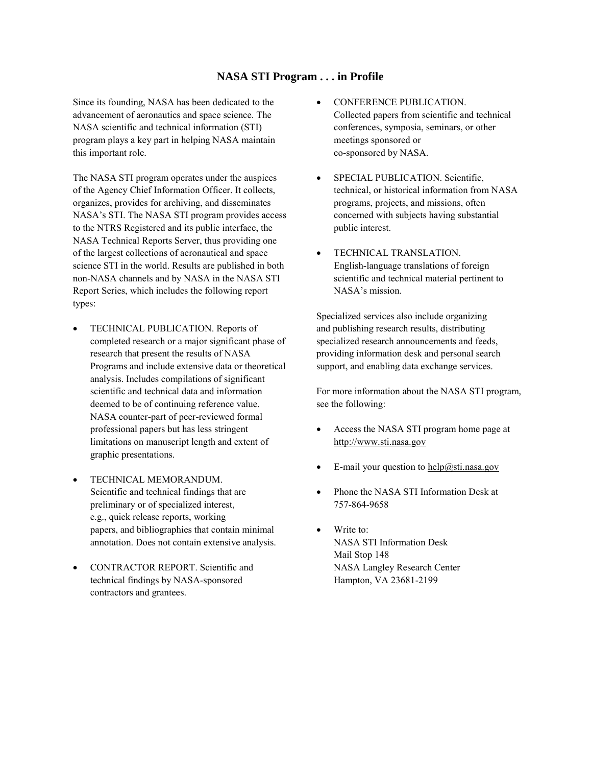#### **NASA STI Program . . . in Profile**

Since its founding, NASA has been dedicated to the advancement of aeronautics and space science. The NASA scientific and technical information (STI) program plays a key part in helping NASA maintain this important role.

The NASA STI program operates under the auspices of the Agency Chief Information Officer. It collects, organizes, provides for archiving, and disseminates NASA's STI. The NASA STI program provides access to the NTRS Registered and its public interface, the NASA Technical Reports Server, thus providing one of the largest collections of aeronautical and space science STI in the world. Results are published in both non-NASA channels and by NASA in the NASA STI Report Series, which includes the following report types:

- TECHNICAL PUBLICATION. Reports of completed research or a major significant phase of research that present the results of NASA Programs and include extensive data or theoretical analysis. Includes compilations of significant scientific and technical data and information deemed to be of continuing reference value. NASA counter-part of peer-reviewed formal professional papers but has less stringent limitations on manuscript length and extent of graphic presentations.
- TECHNICAL MEMORANDUM. Scientific and technical findings that are preliminary or of specialized interest, e.g., quick release reports, working papers, and bibliographies that contain minimal annotation. Does not contain extensive analysis.
- CONTRACTOR REPORT. Scientific and technical findings by NASA-sponsored contractors and grantees.
- CONFERENCE PUBLICATION. Collected papers from scientific and technical conferences, symposia, seminars, or other meetings sponsored or co-sponsored by NASA.
- SPECIAL PUBLICATION. Scientific, technical, or historical information from NASA programs, projects, and missions, often concerned with subjects having substantial public interest.
- TECHNICAL TRANSLATION. English-language translations of foreign scientific and technical material pertinent to NASA's mission.

Specialized services also include organizing and publishing research results, distributing specialized research announcements and feeds, providing information desk and personal search support, and enabling data exchange services.

For more information about the NASA STI program, see the following:

- Access the NASA STI program home page at http://www.sti.nasa.gov
- E-mail your question to  $help@sti.nasa.gov$
- Phone the NASA STI Information Desk at 757-864-9658
- Write to: NASA STI Information Desk Mail Stop 148 NASA Langley Research Center Hampton, VA 23681-2199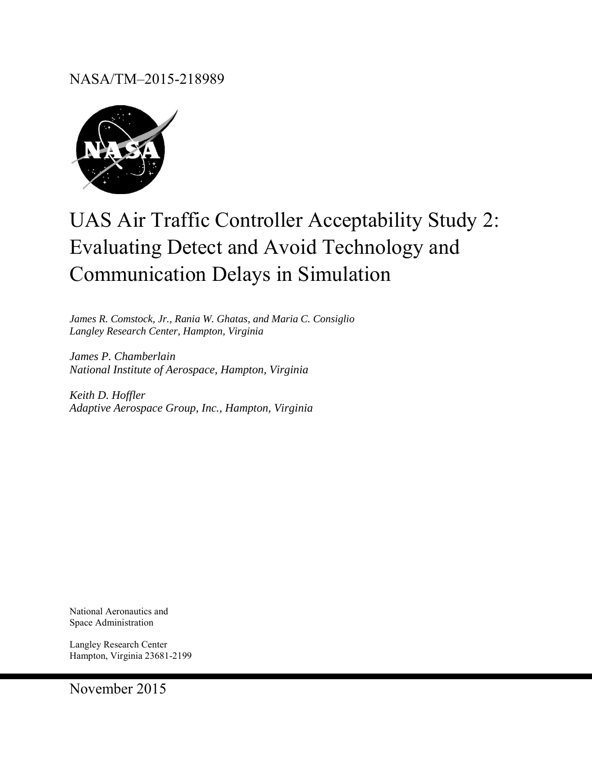NASA/TM–2015-218989



# UAS Air Traffic Controller Acceptability Study 2: Evaluating Detect and Avoid Technology and Communication Delays in Simulation

*James R. Comstock, Jr., Rania W. Ghatas, and Maria C. Consiglio Langley Research Center, Hampton, Virginia* 

*James P. Chamberlain National Institute of Aerospace, Hampton, Virginia* 

*Keith D. Hoffler Adaptive Aerospace Group, Inc., Hampton, Virginia* 

National Aeronautics and Space Administration

Langley Research Center Hampton, Virginia 23681-2199

November 2015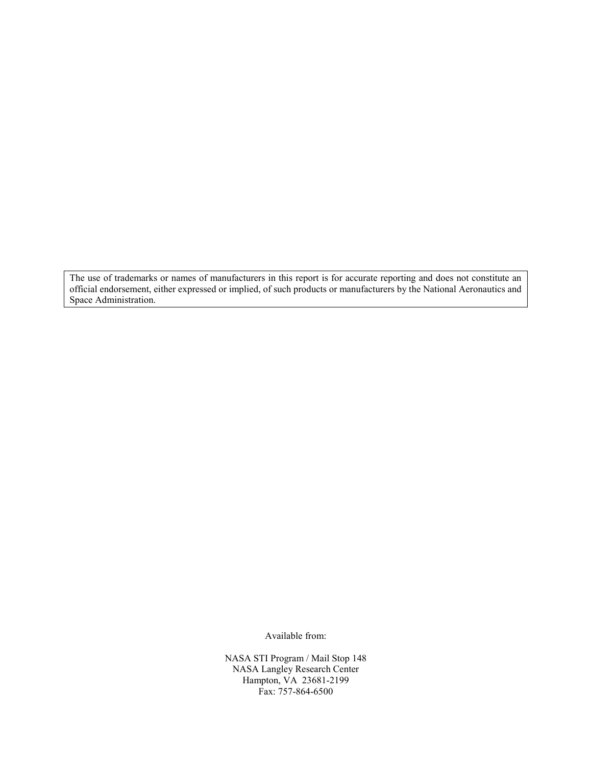The use of trademarks or names of manufacturers in this report is for accurate reporting and does not constitute an official endorsement, either expressed or implied, of such products or manufacturers by the National Aeronautics and Space Administration.

Available from:

NASA STI Program / Mail Stop 148 NASA Langley Research Center Hampton, VA 23681-2199 Fax: 757-864-6500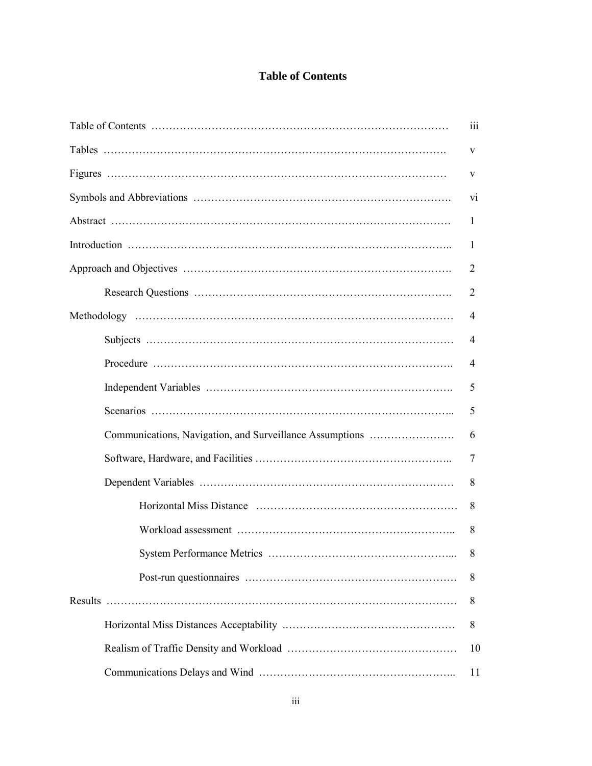## **Table of Contents**

|                                                          | 111            |
|----------------------------------------------------------|----------------|
|                                                          | V              |
|                                                          | V              |
|                                                          | V <sub>1</sub> |
|                                                          | 1              |
|                                                          | 1              |
|                                                          | 2              |
|                                                          | 2              |
|                                                          | 4              |
|                                                          | 4              |
|                                                          | 4              |
|                                                          | 5              |
|                                                          | 5              |
| Communications, Navigation, and Surveillance Assumptions | 6              |
|                                                          | 7              |
|                                                          | 8              |
|                                                          | 8              |
|                                                          | 8              |
|                                                          | 8              |
|                                                          | 8              |
|                                                          | 8              |
|                                                          | 8              |
|                                                          | 10             |
|                                                          | 11             |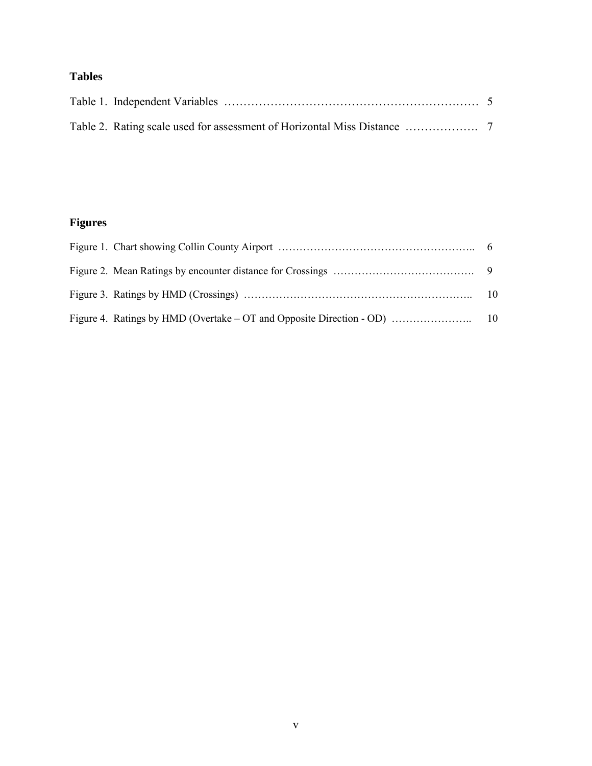# **Tables**

# **Figures**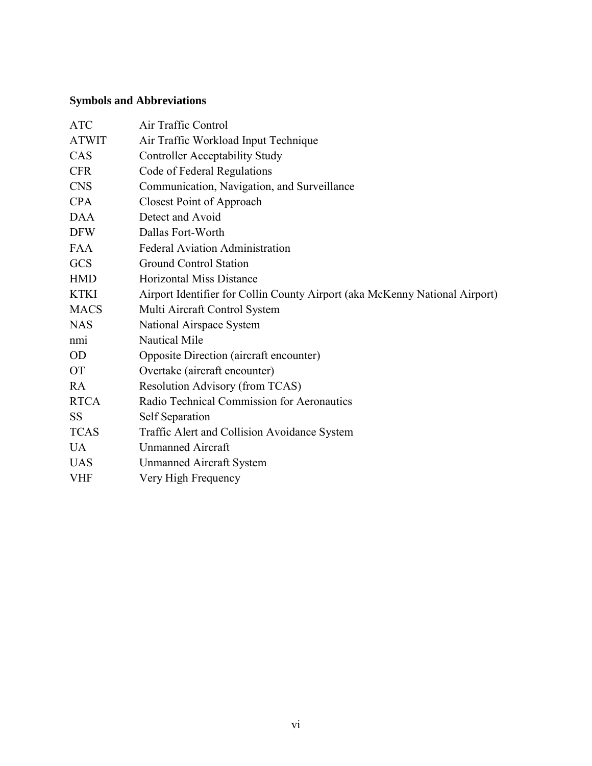# **Symbols and Abbreviations**

| <b>ATC</b>   | Air Traffic Control                                                         |
|--------------|-----------------------------------------------------------------------------|
| <b>ATWIT</b> | Air Traffic Workload Input Technique                                        |
| CAS          | <b>Controller Acceptability Study</b>                                       |
| <b>CFR</b>   | Code of Federal Regulations                                                 |
| <b>CNS</b>   | Communication, Navigation, and Surveillance                                 |
| <b>CPA</b>   | Closest Point of Approach                                                   |
| <b>DAA</b>   | Detect and Avoid                                                            |
| <b>DFW</b>   | Dallas Fort-Worth                                                           |
| <b>FAA</b>   | <b>Federal Aviation Administration</b>                                      |
| <b>GCS</b>   | <b>Ground Control Station</b>                                               |
| <b>HMD</b>   | <b>Horizontal Miss Distance</b>                                             |
| <b>KTKI</b>  | Airport Identifier for Collin County Airport (aka McKenny National Airport) |
| <b>MACS</b>  | Multi Aircraft Control System                                               |
| <b>NAS</b>   | National Airspace System                                                    |
| nmi          | Nautical Mile                                                               |
| <b>OD</b>    | <b>Opposite Direction (aircraft encounter)</b>                              |
| <b>OT</b>    | Overtake (aircraft encounter)                                               |
| <b>RA</b>    | Resolution Advisory (from TCAS)                                             |
| <b>RTCA</b>  | Radio Technical Commission for Aeronautics                                  |
| <b>SS</b>    | <b>Self Separation</b>                                                      |
| <b>TCAS</b>  | Traffic Alert and Collision Avoidance System                                |
| <b>UA</b>    | <b>Unmanned Aircraft</b>                                                    |
| <b>UAS</b>   | <b>Unmanned Aircraft System</b>                                             |
| <b>VHF</b>   | Very High Frequency                                                         |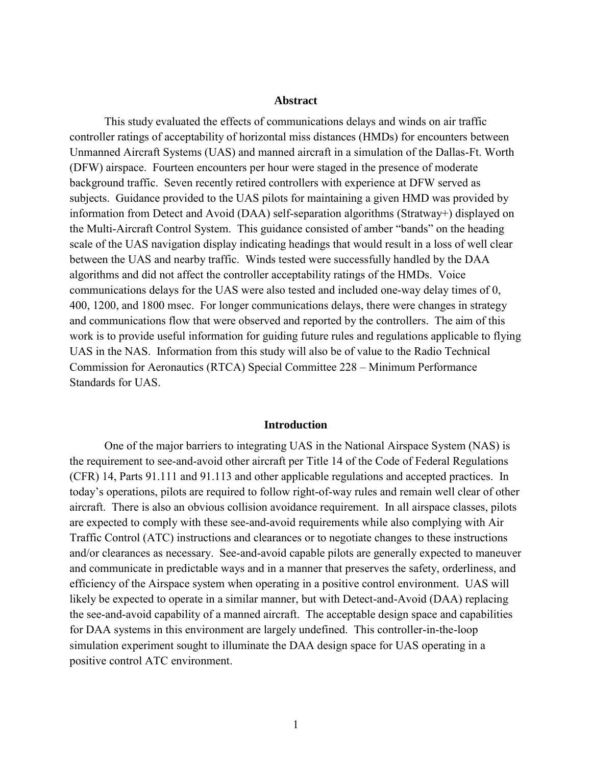#### **Abstract**

This study evaluated the effects of communications delays and winds on air traffic controller ratings of acceptability of horizontal miss distances (HMDs) for encounters between Unmanned Aircraft Systems (UAS) and manned aircraft in a simulation of the Dallas-Ft. Worth (DFW) airspace. Fourteen encounters per hour were staged in the presence of moderate background traffic. Seven recently retired controllers with experience at DFW served as subjects. Guidance provided to the UAS pilots for maintaining a given HMD was provided by information from Detect and Avoid (DAA) self-separation algorithms (Stratway+) displayed on the Multi-Aircraft Control System. This guidance consisted of amber "bands" on the heading scale of the UAS navigation display indicating headings that would result in a loss of well clear between the UAS and nearby traffic. Winds tested were successfully handled by the DAA algorithms and did not affect the controller acceptability ratings of the HMDs. Voice communications delays for the UAS were also tested and included one-way delay times of 0, 400, 1200, and 1800 msec. For longer communications delays, there were changes in strategy and communications flow that were observed and reported by the controllers. The aim of this work is to provide useful information for guiding future rules and regulations applicable to flying UAS in the NAS. Information from this study will also be of value to the Radio Technical Commission for Aeronautics (RTCA) Special Committee 228 – Minimum Performance Standards for UAS.

#### **Introduction**

 One of the major barriers to integrating UAS in the National Airspace System (NAS) is the requirement to see-and-avoid other aircraft per Title 14 of the Code of Federal Regulations (CFR) 14, Parts 91.111 and 91.113 and other applicable regulations and accepted practices. In today's operations, pilots are required to follow right-of-way rules and remain well clear of other aircraft. There is also an obvious collision avoidance requirement. In all airspace classes, pilots are expected to comply with these see-and-avoid requirements while also complying with Air Traffic Control (ATC) instructions and clearances or to negotiate changes to these instructions and/or clearances as necessary. See-and-avoid capable pilots are generally expected to maneuver and communicate in predictable ways and in a manner that preserves the safety, orderliness, and efficiency of the Airspace system when operating in a positive control environment. UAS will likely be expected to operate in a similar manner, but with Detect-and-Avoid (DAA) replacing the see-and-avoid capability of a manned aircraft. The acceptable design space and capabilities for DAA systems in this environment are largely undefined. This controller-in-the-loop simulation experiment sought to illuminate the DAA design space for UAS operating in a positive control ATC environment.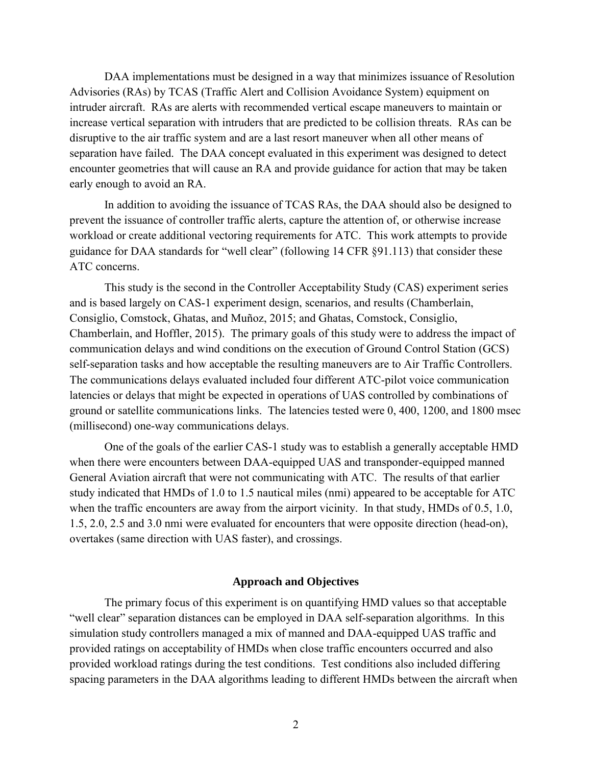DAA implementations must be designed in a way that minimizes issuance of Resolution Advisories (RAs) by TCAS (Traffic Alert and Collision Avoidance System) equipment on intruder aircraft. RAs are alerts with recommended vertical escape maneuvers to maintain or increase vertical separation with intruders that are predicted to be collision threats. RAs can be disruptive to the air traffic system and are a last resort maneuver when all other means of separation have failed. The DAA concept evaluated in this experiment was designed to detect encounter geometries that will cause an RA and provide guidance for action that may be taken early enough to avoid an RA.

 In addition to avoiding the issuance of TCAS RAs, the DAA should also be designed to prevent the issuance of controller traffic alerts, capture the attention of, or otherwise increase workload or create additional vectoring requirements for ATC. This work attempts to provide guidance for DAA standards for "well clear" (following 14 CFR §91.113) that consider these ATC concerns.

 This study is the second in the Controller Acceptability Study (CAS) experiment series and is based largely on CAS-1 experiment design, scenarios, and results (Chamberlain, Consiglio, Comstock, Ghatas, and Muñoz, 2015; and Ghatas, Comstock, Consiglio, Chamberlain, and Hoffler, 2015). The primary goals of this study were to address the impact of communication delays and wind conditions on the execution of Ground Control Station (GCS) self-separation tasks and how acceptable the resulting maneuvers are to Air Traffic Controllers. The communications delays evaluated included four different ATC-pilot voice communication latencies or delays that might be expected in operations of UAS controlled by combinations of ground or satellite communications links. The latencies tested were 0, 400, 1200, and 1800 msec (millisecond) one-way communications delays.

 One of the goals of the earlier CAS-1 study was to establish a generally acceptable HMD when there were encounters between DAA-equipped UAS and transponder-equipped manned General Aviation aircraft that were not communicating with ATC. The results of that earlier study indicated that HMDs of 1.0 to 1.5 nautical miles (nmi) appeared to be acceptable for ATC when the traffic encounters are away from the airport vicinity. In that study, HMDs of 0.5, 1.0, 1.5, 2.0, 2.5 and 3.0 nmi were evaluated for encounters that were opposite direction (head-on), overtakes (same direction with UAS faster), and crossings.

#### **Approach and Objectives**

 The primary focus of this experiment is on quantifying HMD values so that acceptable "well clear" separation distances can be employed in DAA self-separation algorithms. In this simulation study controllers managed a mix of manned and DAA-equipped UAS traffic and provided ratings on acceptability of HMDs when close traffic encounters occurred and also provided workload ratings during the test conditions. Test conditions also included differing spacing parameters in the DAA algorithms leading to different HMDs between the aircraft when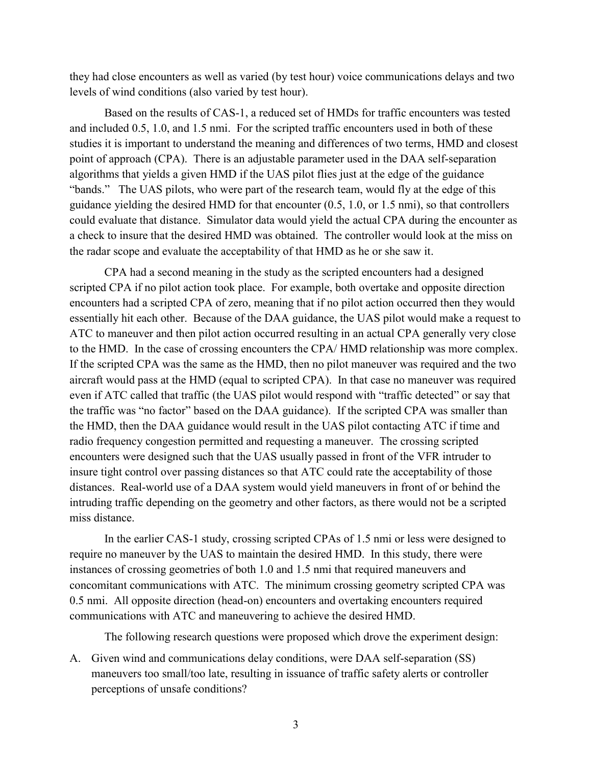they had close encounters as well as varied (by test hour) voice communications delays and two levels of wind conditions (also varied by test hour).

 Based on the results of CAS-1, a reduced set of HMDs for traffic encounters was tested and included 0.5, 1.0, and 1.5 nmi. For the scripted traffic encounters used in both of these studies it is important to understand the meaning and differences of two terms, HMD and closest point of approach (CPA). There is an adjustable parameter used in the DAA self-separation algorithms that yields a given HMD if the UAS pilot flies just at the edge of the guidance "bands." The UAS pilots, who were part of the research team, would fly at the edge of this guidance yielding the desired HMD for that encounter (0.5, 1.0, or 1.5 nmi), so that controllers could evaluate that distance. Simulator data would yield the actual CPA during the encounter as a check to insure that the desired HMD was obtained. The controller would look at the miss on the radar scope and evaluate the acceptability of that HMD as he or she saw it.

 CPA had a second meaning in the study as the scripted encounters had a designed scripted CPA if no pilot action took place. For example, both overtake and opposite direction encounters had a scripted CPA of zero, meaning that if no pilot action occurred then they would essentially hit each other. Because of the DAA guidance, the UAS pilot would make a request to ATC to maneuver and then pilot action occurred resulting in an actual CPA generally very close to the HMD. In the case of crossing encounters the CPA/ HMD relationship was more complex. If the scripted CPA was the same as the HMD, then no pilot maneuver was required and the two aircraft would pass at the HMD (equal to scripted CPA). In that case no maneuver was required even if ATC called that traffic (the UAS pilot would respond with "traffic detected" or say that the traffic was "no factor" based on the DAA guidance). If the scripted CPA was smaller than the HMD, then the DAA guidance would result in the UAS pilot contacting ATC if time and radio frequency congestion permitted and requesting a maneuver. The crossing scripted encounters were designed such that the UAS usually passed in front of the VFR intruder to insure tight control over passing distances so that ATC could rate the acceptability of those distances. Real-world use of a DAA system would yield maneuvers in front of or behind the intruding traffic depending on the geometry and other factors, as there would not be a scripted miss distance.

 In the earlier CAS-1 study, crossing scripted CPAs of 1.5 nmi or less were designed to require no maneuver by the UAS to maintain the desired HMD. In this study, there were instances of crossing geometries of both 1.0 and 1.5 nmi that required maneuvers and concomitant communications with ATC. The minimum crossing geometry scripted CPA was 0.5 nmi. All opposite direction (head-on) encounters and overtaking encounters required communications with ATC and maneuvering to achieve the desired HMD.

The following research questions were proposed which drove the experiment design:

A. Given wind and communications delay conditions, were DAA self-separation (SS) maneuvers too small/too late, resulting in issuance of traffic safety alerts or controller perceptions of unsafe conditions?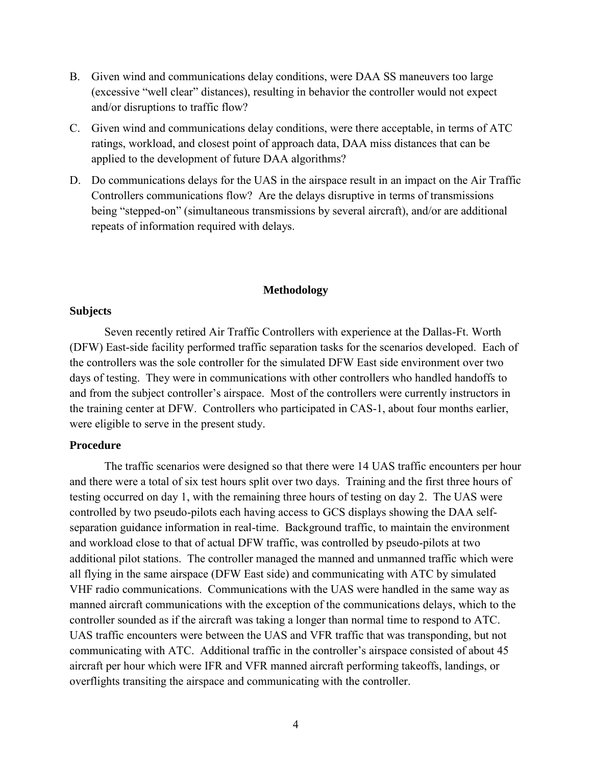- B. Given wind and communications delay conditions, were DAA SS maneuvers too large (excessive "well clear" distances), resulting in behavior the controller would not expect and/or disruptions to traffic flow?
- C. Given wind and communications delay conditions, were there acceptable, in terms of ATC ratings, workload, and closest point of approach data, DAA miss distances that can be applied to the development of future DAA algorithms?
- D. Do communications delays for the UAS in the airspace result in an impact on the Air Traffic Controllers communications flow? Are the delays disruptive in terms of transmissions being "stepped-on" (simultaneous transmissions by several aircraft), and/or are additional repeats of information required with delays.

#### **Methodology**

#### **Subjects**

 Seven recently retired Air Traffic Controllers with experience at the Dallas-Ft. Worth (DFW) East-side facility performed traffic separation tasks for the scenarios developed. Each of the controllers was the sole controller for the simulated DFW East side environment over two days of testing. They were in communications with other controllers who handled handoffs to and from the subject controller's airspace. Most of the controllers were currently instructors in the training center at DFW. Controllers who participated in CAS-1, about four months earlier, were eligible to serve in the present study.

#### **Procedure**

 The traffic scenarios were designed so that there were 14 UAS traffic encounters per hour and there were a total of six test hours split over two days. Training and the first three hours of testing occurred on day 1, with the remaining three hours of testing on day 2. The UAS were controlled by two pseudo-pilots each having access to GCS displays showing the DAA selfseparation guidance information in real-time. Background traffic, to maintain the environment and workload close to that of actual DFW traffic, was controlled by pseudo-pilots at two additional pilot stations. The controller managed the manned and unmanned traffic which were all flying in the same airspace (DFW East side) and communicating with ATC by simulated VHF radio communications. Communications with the UAS were handled in the same way as manned aircraft communications with the exception of the communications delays, which to the controller sounded as if the aircraft was taking a longer than normal time to respond to ATC. UAS traffic encounters were between the UAS and VFR traffic that was transponding, but not communicating with ATC. Additional traffic in the controller's airspace consisted of about 45 aircraft per hour which were IFR and VFR manned aircraft performing takeoffs, landings, or overflights transiting the airspace and communicating with the controller.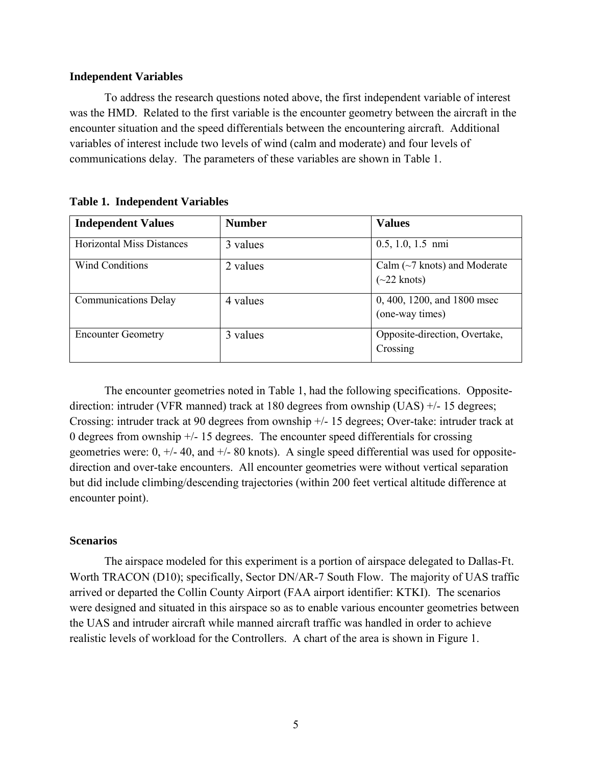#### **Independent Variables**

 To address the research questions noted above, the first independent variable of interest was the HMD. Related to the first variable is the encounter geometry between the aircraft in the encounter situation and the speed differentials between the encountering aircraft. Additional variables of interest include two levels of wind (calm and moderate) and four levels of communications delay. The parameters of these variables are shown in Table 1.

| <b>Independent Values</b>        | <b>Number</b> | <b>Values</b>                                            |
|----------------------------------|---------------|----------------------------------------------------------|
| <b>Horizontal Miss Distances</b> | 3 values      | $0.5, 1.0, 1.5 \text{ nmi}$                              |
| Wind Conditions                  | 2 values      | Calm ( $\sim$ 7 knots) and Moderate<br>$(\sim 22$ knots) |
| <b>Communications Delay</b>      | 4 values      | 0, 400, 1200, and 1800 msec<br>(one-way times)           |
| <b>Encounter Geometry</b>        | 3 values      | Opposite-direction, Overtake,<br>Crossing                |

|  | <b>Table 1. Independent Variables</b> |
|--|---------------------------------------|
|--|---------------------------------------|

The encounter geometries noted in Table 1, had the following specifications. Oppositedirection: intruder (VFR manned) track at 180 degrees from ownship (UAS) +/- 15 degrees; Crossing: intruder track at 90 degrees from ownship +/- 15 degrees; Over-take: intruder track at 0 degrees from ownship +/- 15 degrees. The encounter speed differentials for crossing geometries were:  $0, +/- 40$ , and  $+/- 80$  knots). A single speed differential was used for oppositedirection and over-take encounters. All encounter geometries were without vertical separation but did include climbing/descending trajectories (within 200 feet vertical altitude difference at encounter point).

#### **Scenarios**

The airspace modeled for this experiment is a portion of airspace delegated to Dallas-Ft. Worth TRACON (D10); specifically, Sector DN/AR-7 South Flow. The majority of UAS traffic arrived or departed the Collin County Airport (FAA airport identifier: KTKI). The scenarios were designed and situated in this airspace so as to enable various encounter geometries between the UAS and intruder aircraft while manned aircraft traffic was handled in order to achieve realistic levels of workload for the Controllers. A chart of the area is shown in Figure 1.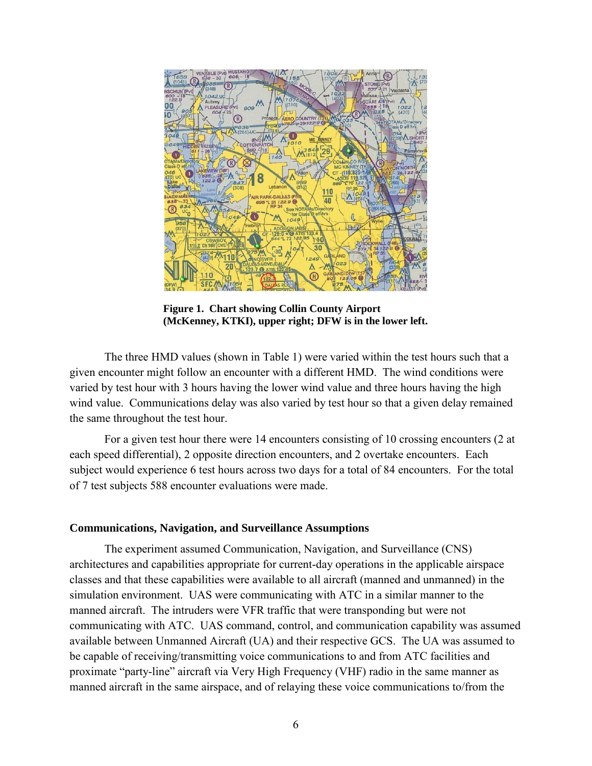

**Figure 1. Chart showing Collin County Airport (McKenney, KTKI), upper right; DFW is in the lower left.**

The three HMD values (shown in Table 1) were varied within the test hours such that a given encounter might follow an encounter with a different HMD. The wind conditions were varied by test hour with 3 hours having the lower wind value and three hours having the high wind value. Communications delay was also varied by test hour so that a given delay remained the same throughout the test hour.

For a given test hour there were 14 encounters consisting of 10 crossing encounters (2 at each speed differential), 2 opposite direction encounters, and 2 overtake encounters. Each subject would experience 6 test hours across two days for a total of 84 encounters. For the total of 7 test subjects 588 encounter evaluations were made.

#### **Communications, Navigation, and Surveillance Assumptions**

The experiment assumed Communication, Navigation, and Surveillance (CNS) architectures and capabilities appropriate for current-day operations in the applicable airspace classes and that these capabilities were available to all aircraft (manned and unmanned) in the simulation environment. UAS were communicating with ATC in a similar manner to the manned aircraft. The intruders were VFR traffic that were transponding but were not communicating with ATC. UAS command, control, and communication capability was assumed available between Unmanned Aircraft (UA) and their respective GCS. The UA was assumed to be capable of receiving/transmitting voice communications to and from ATC facilities and proximate "party-line" aircraft via Very High Frequency (VHF) radio in the same manner as manned aircraft in the same airspace, and of relaying these voice communications to/from the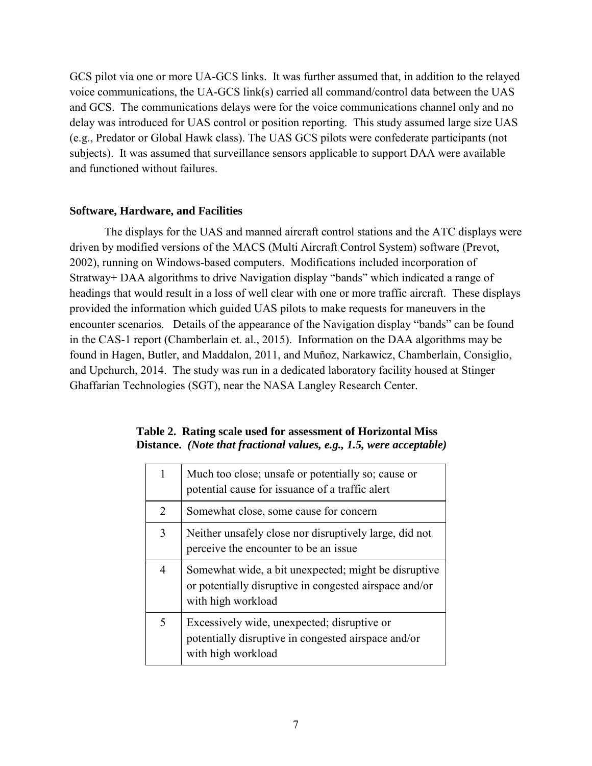GCS pilot via one or more UA-GCS links. It was further assumed that, in addition to the relayed voice communications, the UA-GCS link(s) carried all command/control data between the UAS and GCS. The communications delays were for the voice communications channel only and no delay was introduced for UAS control or position reporting. This study assumed large size UAS (e.g., Predator or Global Hawk class). The UAS GCS pilots were confederate participants (not subjects). It was assumed that surveillance sensors applicable to support DAA were available and functioned without failures.

#### **Software, Hardware, and Facilities**

The displays for the UAS and manned aircraft control stations and the ATC displays were driven by modified versions of the MACS (Multi Aircraft Control System) software (Prevot, 2002), running on Windows-based computers. Modifications included incorporation of Stratway+ DAA algorithms to drive Navigation display "bands" which indicated a range of headings that would result in a loss of well clear with one or more traffic aircraft. These displays provided the information which guided UAS pilots to make requests for maneuvers in the encounter scenarios. Details of the appearance of the Navigation display "bands" can be found in the CAS-1 report (Chamberlain et. al., 2015). Information on the DAA algorithms may be found in Hagen, Butler, and Maddalon, 2011, and Muñoz, Narkawicz, Chamberlain, Consiglio, and Upchurch, 2014. The study was run in a dedicated laboratory facility housed at Stinger Ghaffarian Technologies (SGT), near the NASA Langley Research Center.

| Table 2. Rating scale used for assessment of Horizontal Miss        |
|---------------------------------------------------------------------|
| Distance. (Note that fractional values, e.g., 1.5, were acceptable) |

| 1              | Much too close; unsafe or potentially so; cause or<br>potential cause for issuance of a traffic alert                                |
|----------------|--------------------------------------------------------------------------------------------------------------------------------------|
| $\overline{2}$ | Somewhat close, some cause for concern                                                                                               |
| 3              | Neither unsafely close nor disruptively large, did not<br>perceive the encounter to be an issue                                      |
| 4              | Somewhat wide, a bit unexpected; might be disruptive<br>or potentially disruptive in congested airspace and/or<br>with high workload |
| 5              | Excessively wide, unexpected; disruptive or<br>potentially disruptive in congested airspace and/or<br>with high workload             |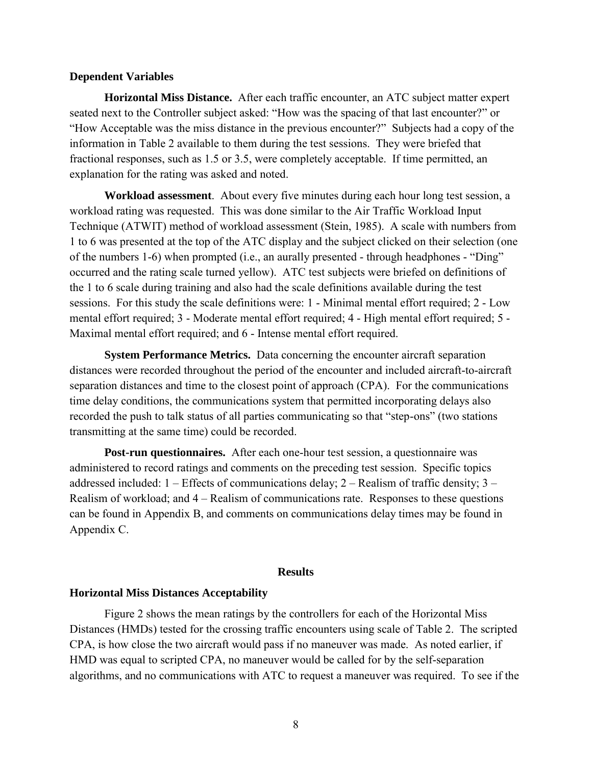#### **Dependent Variables**

**Horizontal Miss Distance.** After each traffic encounter, an ATC subject matter expert seated next to the Controller subject asked: "How was the spacing of that last encounter?" or "How Acceptable was the miss distance in the previous encounter?" Subjects had a copy of the information in Table 2 available to them during the test sessions. They were briefed that fractional responses, such as 1.5 or 3.5, were completely acceptable. If time permitted, an explanation for the rating was asked and noted.

**Workload assessment**. About every five minutes during each hour long test session, a workload rating was requested. This was done similar to the Air Traffic Workload Input Technique (ATWIT) method of workload assessment (Stein, 1985). A scale with numbers from 1 to 6 was presented at the top of the ATC display and the subject clicked on their selection (one of the numbers 1-6) when prompted (i.e., an aurally presented - through headphones - "Ding" occurred and the rating scale turned yellow). ATC test subjects were briefed on definitions of the 1 to 6 scale during training and also had the scale definitions available during the test sessions. For this study the scale definitions were: 1 - Minimal mental effort required; 2 - Low mental effort required; 3 - Moderate mental effort required; 4 - High mental effort required; 5 - Maximal mental effort required; and 6 - Intense mental effort required.

**System Performance Metrics.** Data concerning the encounter aircraft separation distances were recorded throughout the period of the encounter and included aircraft-to-aircraft separation distances and time to the closest point of approach (CPA). For the communications time delay conditions, the communications system that permitted incorporating delays also recorded the push to talk status of all parties communicating so that "step-ons" (two stations transmitting at the same time) could be recorded.

**Post-run questionnaires.** After each one-hour test session, a questionnaire was administered to record ratings and comments on the preceding test session. Specific topics addressed included: 1 – Effects of communications delay; 2 – Realism of traffic density; 3 – Realism of workload; and 4 – Realism of communications rate. Responses to these questions can be found in Appendix B, and comments on communications delay times may be found in Appendix C.

#### **Results**

#### **Horizontal Miss Distances Acceptability**

Figure 2 shows the mean ratings by the controllers for each of the Horizontal Miss Distances (HMDs) tested for the crossing traffic encounters using scale of Table 2. The scripted CPA, is how close the two aircraft would pass if no maneuver was made. As noted earlier, if HMD was equal to scripted CPA, no maneuver would be called for by the self-separation algorithms, and no communications with ATC to request a maneuver was required. To see if the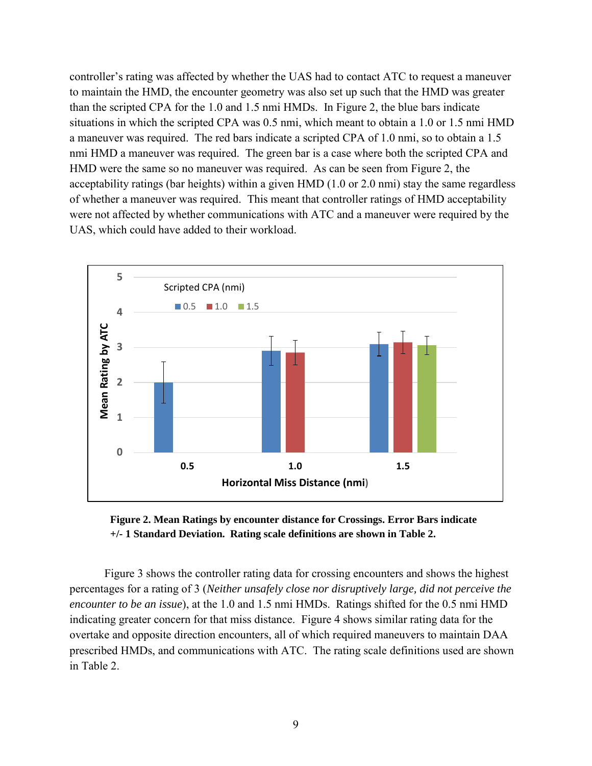controller's rating was affected by whether the UAS had to contact ATC to request a maneuver to maintain the HMD, the encounter geometry was also set up such that the HMD was greater than the scripted CPA for the 1.0 and 1.5 nmi HMDs. In Figure 2, the blue bars indicate situations in which the scripted CPA was 0.5 nmi, which meant to obtain a 1.0 or 1.5 nmi HMD a maneuver was required. The red bars indicate a scripted CPA of 1.0 nmi, so to obtain a 1.5 nmi HMD a maneuver was required. The green bar is a case where both the scripted CPA and HMD were the same so no maneuver was required. As can be seen from Figure 2, the acceptability ratings (bar heights) within a given HMD (1.0 or 2.0 nmi) stay the same regardless of whether a maneuver was required. This meant that controller ratings of HMD acceptability were not affected by whether communications with ATC and a maneuver were required by the UAS, which could have added to their workload.



**Figure 2. Mean Ratings by encounter distance for Crossings. Error Bars indicate +/- 1 Standard Deviation. Rating scale definitions are shown in Table 2.**

Figure 3 shows the controller rating data for crossing encounters and shows the highest percentages for a rating of 3 (*Neither unsafely close nor disruptively large, did not perceive the encounter to be an issue*), at the 1.0 and 1.5 nmi HMDs. Ratings shifted for the 0.5 nmi HMD indicating greater concern for that miss distance. Figure 4 shows similar rating data for the overtake and opposite direction encounters, all of which required maneuvers to maintain DAA prescribed HMDs, and communications with ATC. The rating scale definitions used are shown in Table 2.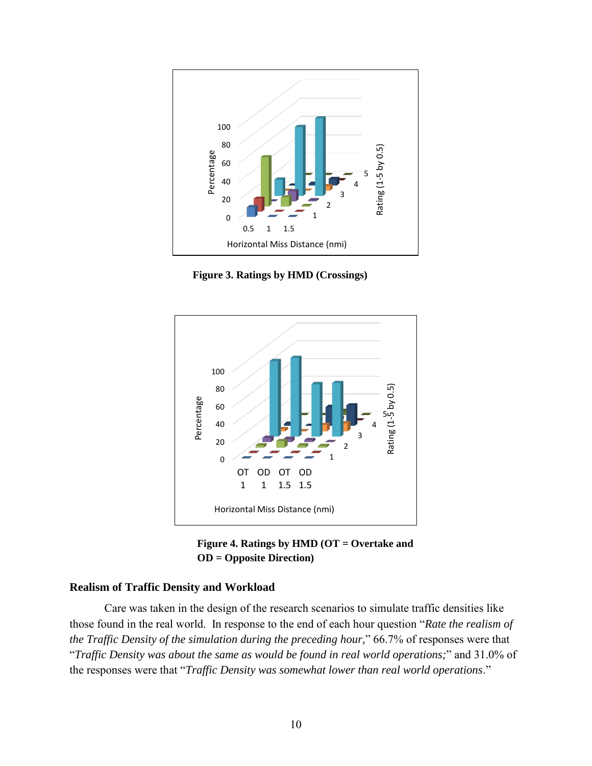

**Figure 3. Ratings by HMD (Crossings)**





#### **Realism of Traffic Density and Workload**

Care was taken in the design of the research scenarios to simulate traffic densities like those found in the real world. In response to the end of each hour question "*Rate the realism of the Traffic Density of the simulation during the preceding hour,*" 66.7% of responses were that "*Traffic Density was about the same as would be found in real world operations;*" and 31.0% of the responses were that "*Traffic Density was somewhat lower than real world operations*."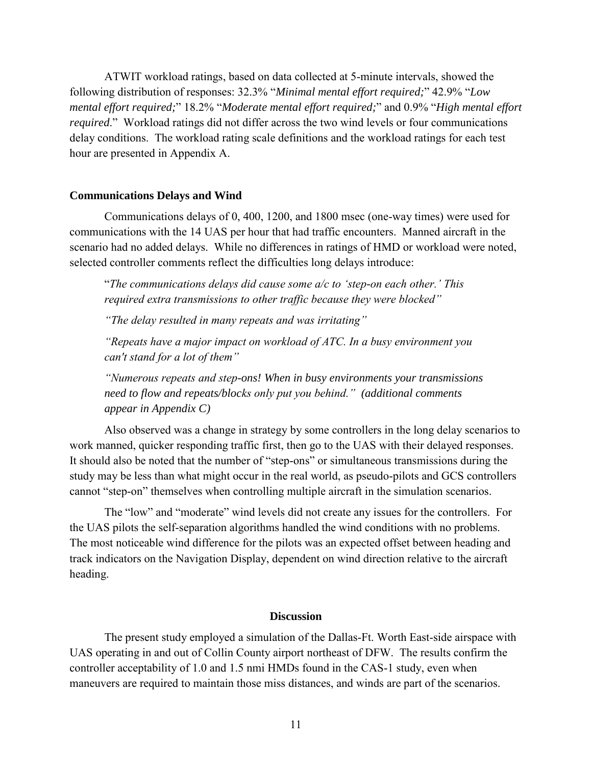ATWIT workload ratings, based on data collected at 5-minute intervals, showed the following distribution of responses: 32.3% "*Minimal mental effort required;*" 42.9% "*Low mental effort required;*" 18.2% "*Moderate mental effort required;*" and 0.9% "*High mental effort required*." Workload ratings did not differ across the two wind levels or four communications delay conditions. The workload rating scale definitions and the workload ratings for each test hour are presented in Appendix A.

#### **Communications Delays and Wind**

Communications delays of 0, 400, 1200, and 1800 msec (one-way times) were used for communications with the 14 UAS per hour that had traffic encounters. Manned aircraft in the scenario had no added delays. While no differences in ratings of HMD or workload were noted, selected controller comments reflect the difficulties long delays introduce:

"*The communications delays did cause some a/c to 'step-on each other.' This required extra transmissions to other traffic because they were blocked"*

*"The delay resulted in many repeats and was irritating"* 

*"Repeats have a major impact on workload of ATC. In a busy environment you can't stand for a lot of them"* 

*"Numerous repeats and step-ons! When in busy environments your transmissions need to flow and repeats/blocks only put you behind." (additional comments appear in Appendix C)* 

 Also observed was a change in strategy by some controllers in the long delay scenarios to work manned, quicker responding traffic first, then go to the UAS with their delayed responses. It should also be noted that the number of "step-ons" or simultaneous transmissions during the study may be less than what might occur in the real world, as pseudo-pilots and GCS controllers cannot "step-on" themselves when controlling multiple aircraft in the simulation scenarios.

 The "low" and "moderate" wind levels did not create any issues for the controllers. For the UAS pilots the self-separation algorithms handled the wind conditions with no problems. The most noticeable wind difference for the pilots was an expected offset between heading and track indicators on the Navigation Display, dependent on wind direction relative to the aircraft heading.

#### **Discussion**

 The present study employed a simulation of the Dallas-Ft. Worth East-side airspace with UAS operating in and out of Collin County airport northeast of DFW. The results confirm the controller acceptability of 1.0 and 1.5 nmi HMDs found in the CAS-1 study, even when maneuvers are required to maintain those miss distances, and winds are part of the scenarios.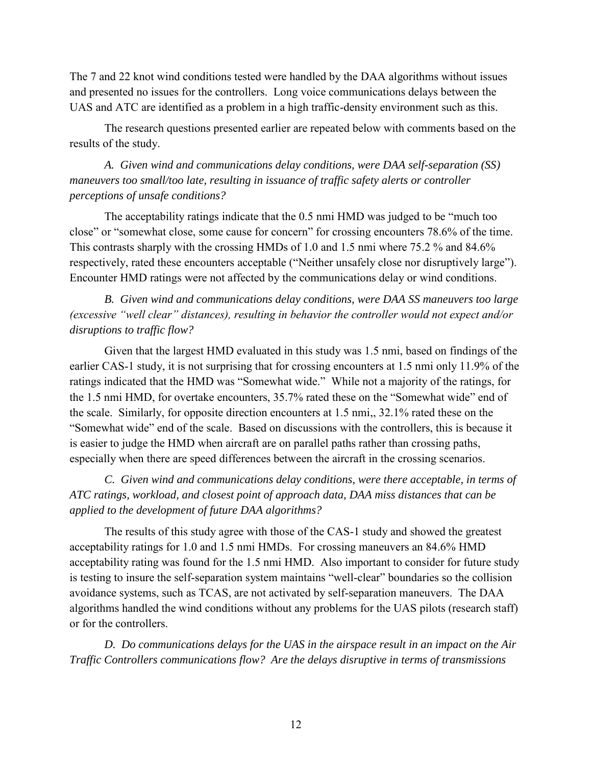The 7 and 22 knot wind conditions tested were handled by the DAA algorithms without issues and presented no issues for the controllers. Long voice communications delays between the UAS and ATC are identified as a problem in a high traffic-density environment such as this.

 The research questions presented earlier are repeated below with comments based on the results of the study.

 *A. Given wind and communications delay conditions, were DAA self-separation (SS) maneuvers too small/too late, resulting in issuance of traffic safety alerts or controller perceptions of unsafe conditions?* 

 The acceptability ratings indicate that the 0.5 nmi HMD was judged to be "much too close" or "somewhat close, some cause for concern" for crossing encounters 78.6% of the time. This contrasts sharply with the crossing HMDs of 1.0 and 1.5 nmi where 75.2 % and 84.6% respectively, rated these encounters acceptable ("Neither unsafely close nor disruptively large"). Encounter HMD ratings were not affected by the communications delay or wind conditions.

 *B. Given wind and communications delay conditions, were DAA SS maneuvers too large (excessive "well clear" distances), resulting in behavior the controller would not expect and/or disruptions to traffic flow?* 

 Given that the largest HMD evaluated in this study was 1.5 nmi, based on findings of the earlier CAS-1 study, it is not surprising that for crossing encounters at 1.5 nmi only 11.9% of the ratings indicated that the HMD was "Somewhat wide." While not a majority of the ratings, for the 1.5 nmi HMD, for overtake encounters, 35.7% rated these on the "Somewhat wide" end of the scale. Similarly, for opposite direction encounters at 1.5 nmi,, 32.1% rated these on the "Somewhat wide" end of the scale. Based on discussions with the controllers, this is because it is easier to judge the HMD when aircraft are on parallel paths rather than crossing paths, especially when there are speed differences between the aircraft in the crossing scenarios.

 *C. Given wind and communications delay conditions, were there acceptable, in terms of ATC ratings, workload, and closest point of approach data, DAA miss distances that can be applied to the development of future DAA algorithms?* 

 The results of this study agree with those of the CAS-1 study and showed the greatest acceptability ratings for 1.0 and 1.5 nmi HMDs. For crossing maneuvers an 84.6% HMD acceptability rating was found for the 1.5 nmi HMD. Also important to consider for future study is testing to insure the self-separation system maintains "well-clear" boundaries so the collision avoidance systems, such as TCAS, are not activated by self-separation maneuvers. The DAA algorithms handled the wind conditions without any problems for the UAS pilots (research staff) or for the controllers.

 *D. Do communications delays for the UAS in the airspace result in an impact on the Air Traffic Controllers communications flow? Are the delays disruptive in terms of transmissions*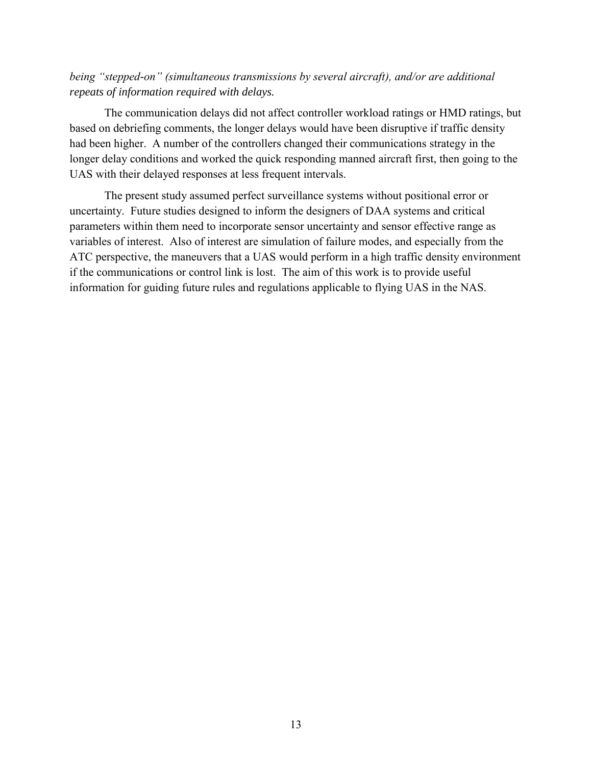## *being "stepped-on" (simultaneous transmissions by several aircraft), and/or are additional repeats of information required with delays.*

 The communication delays did not affect controller workload ratings or HMD ratings, but based on debriefing comments, the longer delays would have been disruptive if traffic density had been higher. A number of the controllers changed their communications strategy in the longer delay conditions and worked the quick responding manned aircraft first, then going to the UAS with their delayed responses at less frequent intervals.

 The present study assumed perfect surveillance systems without positional error or uncertainty. Future studies designed to inform the designers of DAA systems and critical parameters within them need to incorporate sensor uncertainty and sensor effective range as variables of interest. Also of interest are simulation of failure modes, and especially from the ATC perspective, the maneuvers that a UAS would perform in a high traffic density environment if the communications or control link is lost. The aim of this work is to provide useful information for guiding future rules and regulations applicable to flying UAS in the NAS.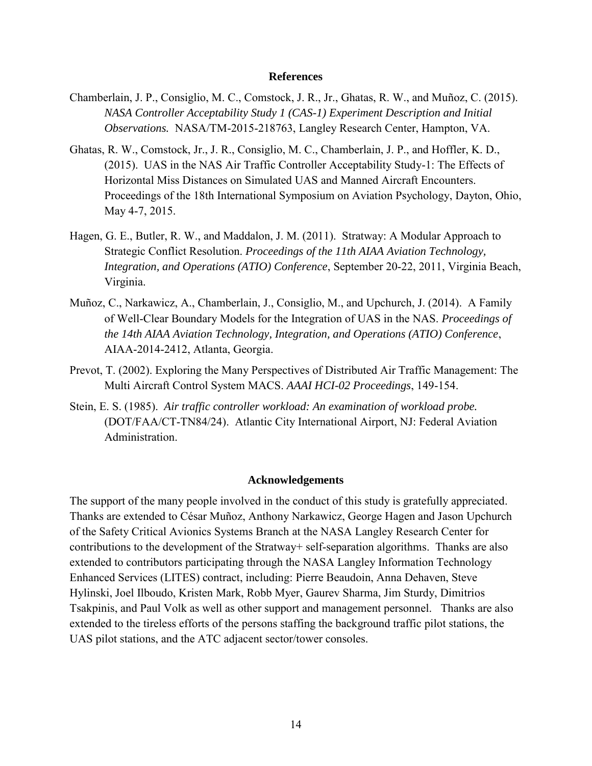#### **References**

- Chamberlain, J. P., Consiglio, M. C., Comstock, J. R., Jr., Ghatas, R. W., and Muñoz, C. (2015). *NASA Controller Acceptability Study 1 (CAS-1) Experiment Description and Initial Observations.* NASA/TM-2015-218763, Langley Research Center, Hampton, VA.
- Ghatas, R. W., Comstock, Jr., J. R., Consiglio, M. C., Chamberlain, J. P., and Hoffler, K. D., (2015). UAS in the NAS Air Traffic Controller Acceptability Study-1: The Effects of Horizontal Miss Distances on Simulated UAS and Manned Aircraft Encounters. Proceedings of the 18th International Symposium on Aviation Psychology, Dayton, Ohio, May 4-7, 2015.
- Hagen, G. E., Butler, R. W., and Maddalon, J. M. (2011). Stratway: A Modular Approach to Strategic Conflict Resolution. *Proceedings of the 11th AIAA Aviation Technology, Integration, and Operations (ATIO) Conference*, September 20-22, 2011, Virginia Beach, Virginia.
- Muñoz, C., Narkawicz, A., Chamberlain, J., Consiglio, M., and Upchurch, J. (2014). A Family of Well-Clear Boundary Models for the Integration of UAS in the NAS. *Proceedings of the 14th AIAA Aviation Technology, Integration, and Operations (ATIO) Conference*, AIAA-2014-2412, Atlanta, Georgia.
- Prevot, T. (2002). Exploring the Many Perspectives of Distributed Air Traffic Management: The Multi Aircraft Control System MACS. *AAAI HCI-02 Proceedings*, 149-154.
- Stein, E. S. (1985). *Air traffic controller workload: An examination of workload probe.* (DOT/FAA/CT-TN84/24). Atlantic City International Airport, NJ: Federal Aviation Administration.

#### **Acknowledgements**

The support of the many people involved in the conduct of this study is gratefully appreciated. Thanks are extended to César Muñoz, Anthony Narkawicz, George Hagen and Jason Upchurch of the Safety Critical Avionics Systems Branch at the NASA Langley Research Center for contributions to the development of the Stratway+ self-separation algorithms. Thanks are also extended to contributors participating through the NASA Langley Information Technology Enhanced Services (LITES) contract, including: Pierre Beaudoin, Anna Dehaven, Steve Hylinski, Joel Ilboudo, Kristen Mark, Robb Myer, Gaurev Sharma, Jim Sturdy, Dimitrios Tsakpinis, and Paul Volk as well as other support and management personnel. Thanks are also extended to the tireless efforts of the persons staffing the background traffic pilot stations, the UAS pilot stations, and the ATC adjacent sector/tower consoles.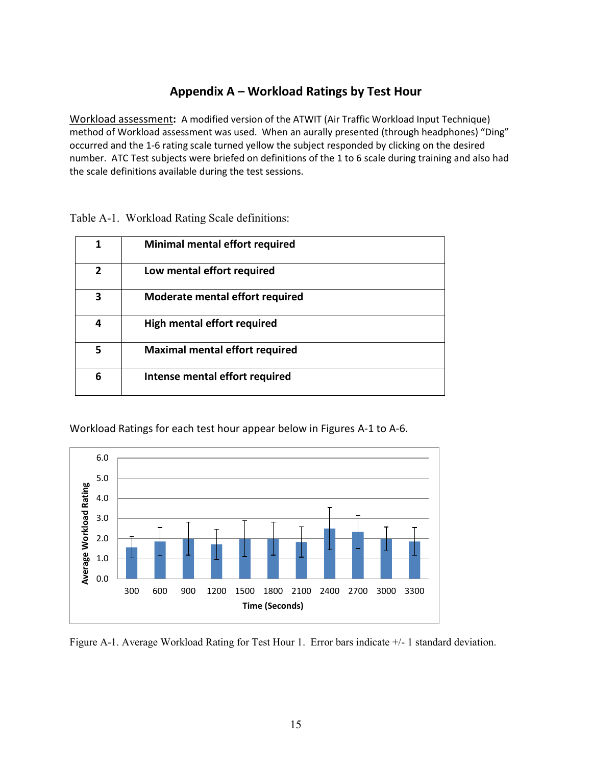## **Appendix A – Workload Ratings by Test Hour**

Workload assessment**:** A modified version of the ATWIT (Air Traffic Workload Input Technique) method of Workload assessment was used. When an aurally presented (through headphones) "Ding" occurred and the 1-6 rating scale turned yellow the subject responded by clicking on the desired number. ATC Test subjects were briefed on definitions of the 1 to 6 scale during training and also had the scale definitions available during the test sessions.

| 1              | <b>Minimal mental effort required</b> |
|----------------|---------------------------------------|
| $\overline{2}$ | Low mental effort required            |
| 3              | Moderate mental effort required       |
| 4              | High mental effort required           |
| 5              | <b>Maximal mental effort required</b> |
| 6              | Intense mental effort required        |

Table A-1. Workload Rating Scale definitions:



Workload Ratings for each test hour appear below in Figures A-1 to A-6.

Figure A-1. Average Workload Rating for Test Hour 1. Error bars indicate  $+/-1$  standard deviation.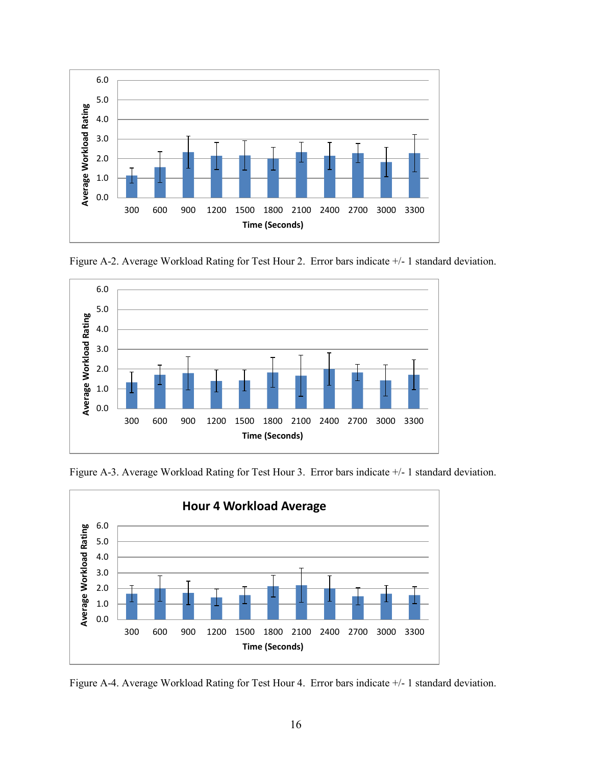







Figure A-3. Average Workload Rating for Test Hour 3. Error bars indicate +/- 1 standard deviation.

Figure A-4. Average Workload Rating for Test Hour 4. Error bars indicate +/- 1 standard deviation.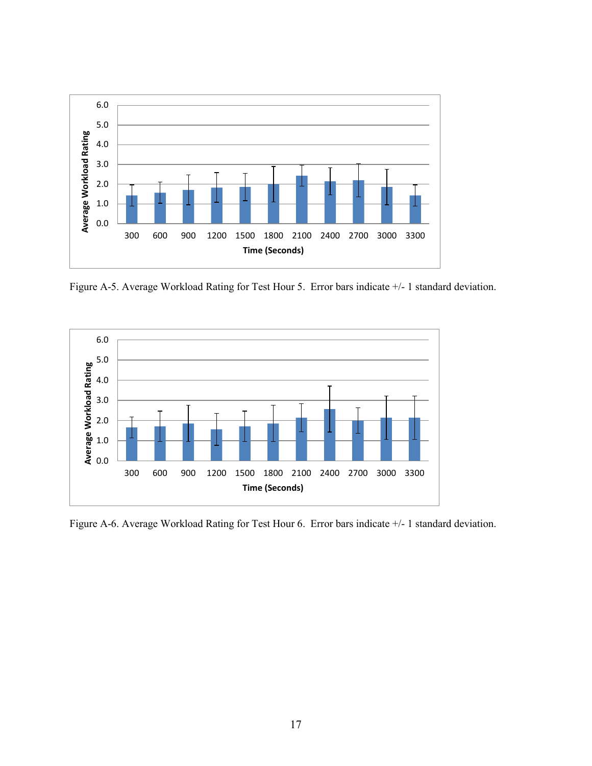

Figure A-5. Average Workload Rating for Test Hour 5. Error bars indicate +/- 1 standard deviation.



Figure A-6. Average Workload Rating for Test Hour 6. Error bars indicate +/- 1 standard deviation.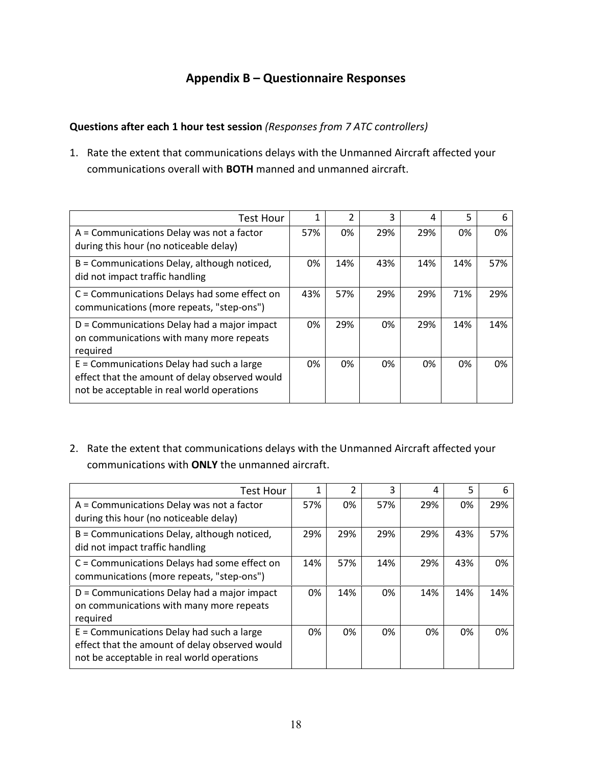## **Appendix B – Questionnaire Responses**

### **Questions after each 1 hour test session** *(Responses from 7 ATC controllers)*

1. Rate the extent that communications delays with the Unmanned Aircraft affected your communications overall with **BOTH** manned and unmanned aircraft.

| Test Hour                                                                                                                                   |     | 2   | 3   | 4   | 5   | 6   |
|---------------------------------------------------------------------------------------------------------------------------------------------|-----|-----|-----|-----|-----|-----|
| A = Communications Delay was not a factor<br>during this hour (no noticeable delay)                                                         | 57% | 0%  | 29% | 29% | 0%  | 0%  |
| B = Communications Delay, although noticed,<br>did not impact traffic handling                                                              | 0%  | 14% | 43% | 14% | 14% | 57% |
| C = Communications Delays had some effect on<br>communications (more repeats, "step-ons")                                                   | 43% | 57% | 29% | 29% | 71% | 29% |
| D = Communications Delay had a major impact<br>on communications with many more repeats<br>required                                         | 0%  | 29% | 0%  | 29% | 14% | 14% |
| $E =$ Communications Delay had such a large<br>effect that the amount of delay observed would<br>not be acceptable in real world operations | 0%  | 0%  | 0%  | 0%  | 0%  | 0%  |

2. Rate the extent that communications delays with the Unmanned Aircraft affected your communications with **ONLY** the unmanned aircraft.

| <b>Test Hour</b>                                                                                                                            |     |     | 3   | 4   | 5   | 6   |
|---------------------------------------------------------------------------------------------------------------------------------------------|-----|-----|-----|-----|-----|-----|
| A = Communications Delay was not a factor<br>during this hour (no noticeable delay)                                                         | 57% | 0%  | 57% | 29% | 0%  | 29% |
| B = Communications Delay, although noticed,<br>did not impact traffic handling                                                              | 29% | 29% | 29% | 29% | 43% | 57% |
| C = Communications Delays had some effect on<br>communications (more repeats, "step-ons")                                                   | 14% | 57% | 14% | 29% | 43% | 0%  |
| $D =$ Communications Delay had a major impact<br>on communications with many more repeats<br>required                                       | 0%  | 14% | 0%  | 14% | 14% | 14% |
| $E =$ Communications Delay had such a large<br>effect that the amount of delay observed would<br>not be acceptable in real world operations | በ%  | 0%  | 0%  | 0%  | 0%  | በ%  |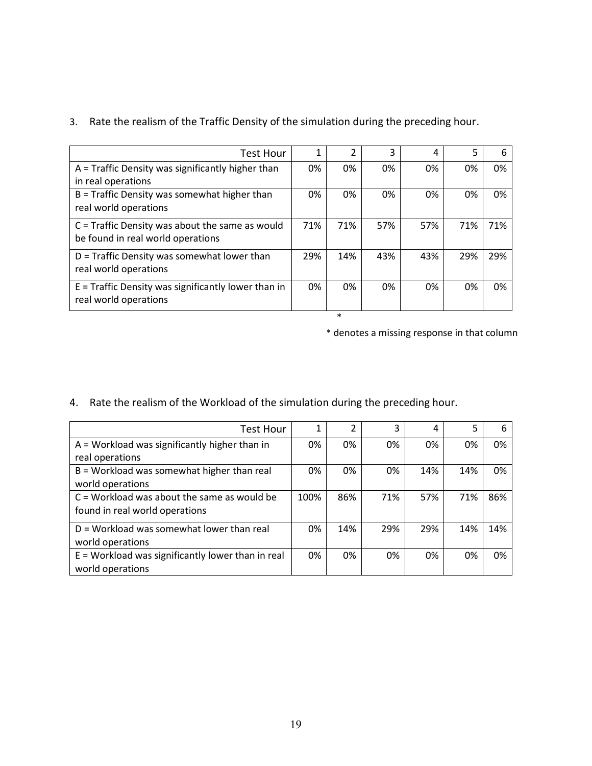| <b>Test Hour</b>                                             | 1   | $\overline{2}$ | 3   | 4   | 5   | 6   |
|--------------------------------------------------------------|-----|----------------|-----|-----|-----|-----|
| $A$ = Traffic Density was significantly higher than          | 0%  | 0%             | 0%  | 0%  | 0%  | 0%  |
| in real operations                                           |     |                |     |     |     |     |
| $B$ = Traffic Density was somewhat higher than               | 0%  | 0%             | 0%  | 0%  | 0%  | 0%  |
| real world operations                                        |     |                |     |     |     |     |
| $C = \text{Traffic Density}$ was about the same as would     |     | 71%            | 57% | 57% | 71% | 71% |
| be found in real world operations                            |     |                |     |     |     |     |
| $D$ = Traffic Density was somewhat lower than                | 29% | 14%            | 43% | 43% | 29% | 29% |
| real world operations                                        |     |                |     |     |     |     |
| $E = \text{Traffic Density}$ was significantly lower than in | 0%  | 0%             | 0%  | 0%  | 0%  | 0%  |
| real world operations                                        |     |                |     |     |     |     |
|                                                              |     | $\ast$         |     |     |     |     |

## 3. Rate the realism of the Traffic Density of the simulation during the preceding hour.

\* denotes a missing response in that column

4. Rate the realism of the Workload of the simulation during the preceding hour.

| Test Hour                                           | 1    | 2   | 3   | 4   | 5   | 6   |
|-----------------------------------------------------|------|-----|-----|-----|-----|-----|
| $A = Workload$ was significantly higher than in     | 0%   | 0%  | 0%  | 0%  | 0%  | 0%  |
| real operations                                     |      |     |     |     |     |     |
| $B =$ Workload was somewhat higher than real        | 0%   | 0%  | 0%  | 14% | 14% | 0%  |
| world operations                                    |      |     |     |     |     |     |
| $C =$ Workload was about the same as would be       | 100% | 86% | 71% | 57% | 71% | 86% |
| found in real world operations                      |      |     |     |     |     |     |
| D = Workload was somewhat lower than real           | 0%   | 14% | 29% | 29% | 14% | 14% |
| world operations                                    |      |     |     |     |     |     |
| $E = Workload$ was significantly lower than in real | 0%   | 0%  | 0%  | 0%  | 0%  | 0%  |
| world operations                                    |      |     |     |     |     |     |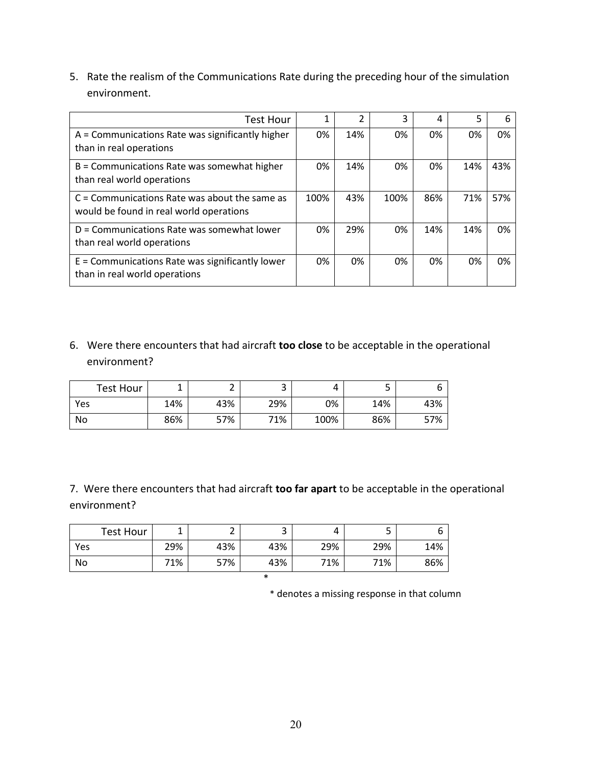5. Rate the realism of the Communications Rate during the preceding hour of the simulation environment.

| Test Hour                                                                                  |      |     | 3    | 4   |     | 6   |
|--------------------------------------------------------------------------------------------|------|-----|------|-----|-----|-----|
| $A =$ Communications Rate was significantly higher<br>than in real operations              | 0%   | 14% | 0%   | 0%  | 0%  | 0%  |
| B = Communications Rate was somewhat higher<br>than real world operations                  | 0%   | 14% | 0%   | 0%  | 14% | 43% |
| $C =$ Communications Rate was about the same as<br>would be found in real world operations | 100% | 43% | 100% | 86% | 71% | 57% |
| D = Communications Rate was somewhat lower<br>than real world operations                   |      | 29% | 0%   | 14% | 14% | 0%  |
| $E =$ Communications Rate was significantly lower<br>than in real world operations         |      | 0%  | 0%   | 0%  | 0%  | 0%  |

6. Were there encounters that had aircraft **too close** to be acceptable in the operational environment?

| Test Hour |     | _   | ∽<br>ں |      | ں   |     |
|-----------|-----|-----|--------|------|-----|-----|
| Yes       | 14% | 43% | 29%    | 0%   | 14% | 43% |
| No        | 86% | 57% | 71%    | 100% | 86% | 57% |

7. Were there encounters that had aircraft **too far apart** to be acceptable in the operational environment?

| <b>Test Hour</b> |     | _   | ⌒<br>ت | $\overline{a}$ | ت   | o   |
|------------------|-----|-----|--------|----------------|-----|-----|
| Yes              | 29% | 43% | 43%    | 29%            | 29% | 14% |
| No               | 71% | 57% | 43%    | 71%            | 71% | 86% |
| $\ast$           |     |     |        |                |     |     |

\* denotes a missing response in that column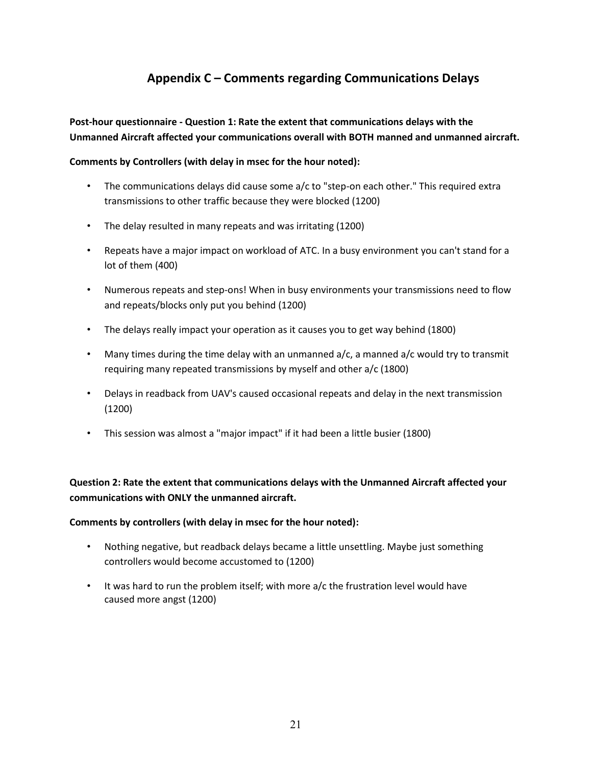## **Appendix C – Comments regarding Communications Delays**

**Post-hour questionnaire - Question 1: Rate the extent that communications delays with the Unmanned Aircraft affected your communications overall with BOTH manned and unmanned aircraft.**

#### **Comments by Controllers (with delay in msec for the hour noted):**

- The communications delays did cause some a/c to "step-on each other." This required extra transmissions to other traffic because they were blocked (1200)
- The delay resulted in many repeats and was irritating (1200)
- Repeats have a major impact on workload of ATC. In a busy environment you can't stand for a lot of them (400)
- Numerous repeats and step-ons! When in busy environments your transmissions need to flow and repeats/blocks only put you behind (1200)
- The delays really impact your operation as it causes you to get way behind (1800)
- Many times during the time delay with an unmanned a/c, a manned a/c would try to transmit requiring many repeated transmissions by myself and other a/c (1800)
- Delays in readback from UAV's caused occasional repeats and delay in the next transmission (1200)
- This session was almost a "major impact" if it had been a little busier (1800)

## **Question 2: Rate the extent that communications delays with the Unmanned Aircraft affected your communications with ONLY the unmanned aircraft.**

#### **Comments by controllers (with delay in msec for the hour noted):**

- Nothing negative, but readback delays became a little unsettling. Maybe just something controllers would become accustomed to (1200)
- It was hard to run the problem itself; with more a/c the frustration level would have caused more angst (1200)